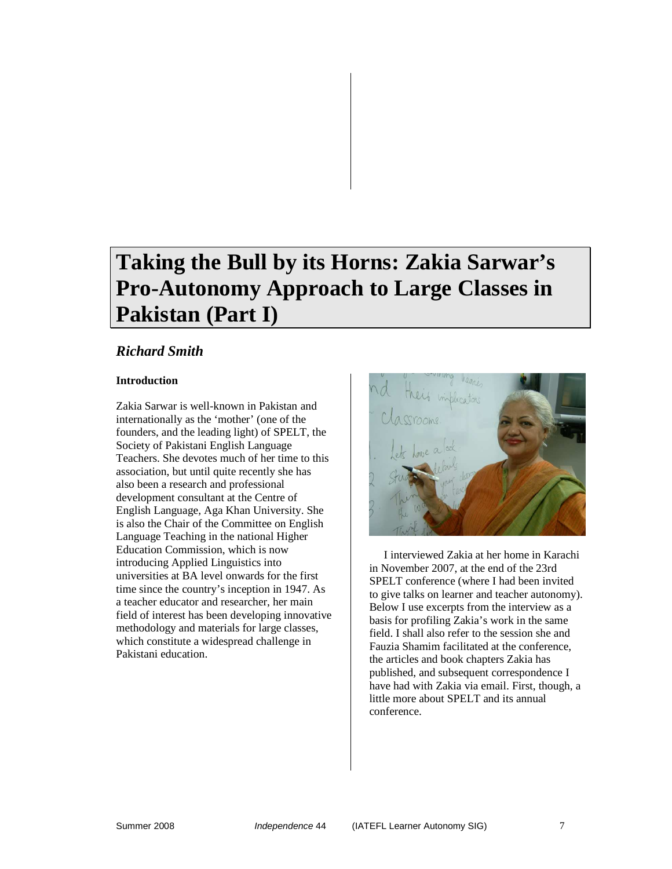# **Taking the Bull by its Horns: Zakia Sarwar's Pro-Autonomy Approach to Large Classes in Pakistan (Part I)**

# *Richard Smith*

## **Introduction**

Zakia Sarwar is well-known in Pakistan and internationally as the 'mother' (one of the founders, and the leading light) of SPELT, the Society of Pakistani English Language Teachers. She devotes much of her time to this association, but until quite recently she has also been a research and professional development consultant at the Centre of English Language, Aga Khan University. She is also the Chair of the Committee on English Language Teaching in the national Higher Education Commission, which is now introducing Applied Linguistics into universities at BA level onwards for the first time since the country's inception in 1947. As a teacher educator and researcher, her main field of interest has been developing innovative methodology and materials for large classes, which constitute a widespread challenge in Pakistani education.



I interviewed Zakia at her home in Karachi in November 2007, at the end of the 23rd SPELT conference (where I had been invited to give talks on learner and teacher autonomy). Below I use excerpts from the interview as a basis for profiling Zakia's work in the same field. I shall also refer to the session she and Fauzia Shamim facilitated at the conference, the articles and book chapters Zakia has published, and subsequent correspondence I have had with Zakia via email. First, though, a little more about SPELT and its annual conference.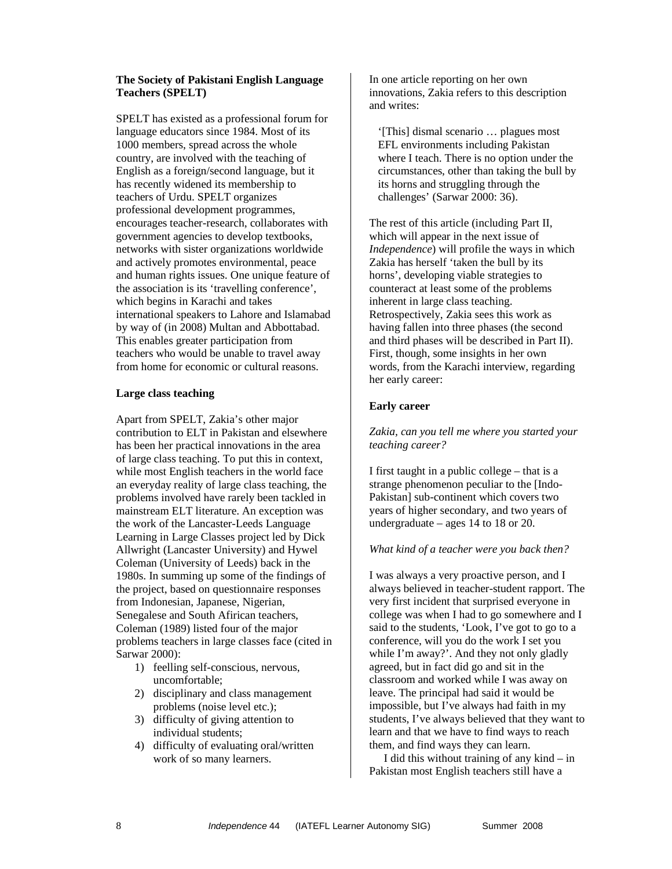#### **The Society of Pakistani English Language Teachers (SPELT)**

SPELT has existed as a professional forum for language educators since 1984. Most of its 1000 members, spread across the whole country, are involved with the teaching of English as a foreign/second language, but it has recently widened its membership to teachers of Urdu. SPELT organizes professional development programmes, encourages teacher-research, collaborates with government agencies to develop textbooks, networks with sister organizations worldwide and actively promotes environmental, peace and human rights issues. One unique feature of the association is its 'travelling conference', which begins in Karachi and takes international speakers to Lahore and Islamabad by way of (in 2008) Multan and Abbottabad. This enables greater participation from teachers who would be unable to travel away from home for economic or cultural reasons.

#### **Large class teaching**

Apart from SPELT, Zakia's other major contribution to ELT in Pakistan and elsewhere has been her practical innovations in the area of large class teaching. To put this in context, while most English teachers in the world face an everyday reality of large class teaching, the problems involved have rarely been tackled in mainstream ELT literature. An exception was the work of the Lancaster-Leeds Language Learning in Large Classes project led by Dick Allwright (Lancaster University) and Hywel Coleman (University of Leeds) back in the 1980s. In summing up some of the findings of the project, based on questionnaire responses from Indonesian, Japanese, Nigerian, Senegalese and South Afirican teachers, Coleman (1989) listed four of the major problems teachers in large classes face (cited in Sarwar 2000):

- 1) feelling self-conscious, nervous, uncomfortable;
- 2) disciplinary and class management problems (noise level etc.);
- 3) difficulty of giving attention to individual students;
- 4) difficulty of evaluating oral/written work of so many learners.

In one article reporting on her own innovations, Zakia refers to this description and writes:

'[This] dismal scenario … plagues most EFL environments including Pakistan where I teach. There is no option under the circumstances, other than taking the bull by its horns and struggling through the challenges' (Sarwar 2000: 36).

The rest of this article (including Part II, which will appear in the next issue of *Independence*) will profile the ways in which Zakia has herself 'taken the bull by its horns', developing viable strategies to counteract at least some of the problems inherent in large class teaching. Retrospectively, Zakia sees this work as having fallen into three phases (the second and third phases will be described in Part II). First, though, some insights in her own words, from the Karachi interview, regarding her early career:

### **Early career**

#### *Zakia, can you tell me where you started your teaching career?*

I first taught in a public college – that is a strange phenomenon peculiar to the [Indo-Pakistan] sub-continent which covers two years of higher secondary, and two years of undergraduate – ages 14 to 18 or 20.

#### *What kind of a teacher were you back then?*

I was always a very proactive person, and I always believed in teacher-student rapport. The very first incident that surprised everyone in college was when I had to go somewhere and I said to the students, 'Look, I've got to go to a conference, will you do the work I set you while I'm away?'. And they not only gladly agreed, but in fact did go and sit in the classroom and worked while I was away on leave. The principal had said it would be impossible, but I've always had faith in my students, I've always believed that they want to learn and that we have to find ways to reach them, and find ways they can learn.

I did this without training of any kind – in Pakistan most English teachers still have a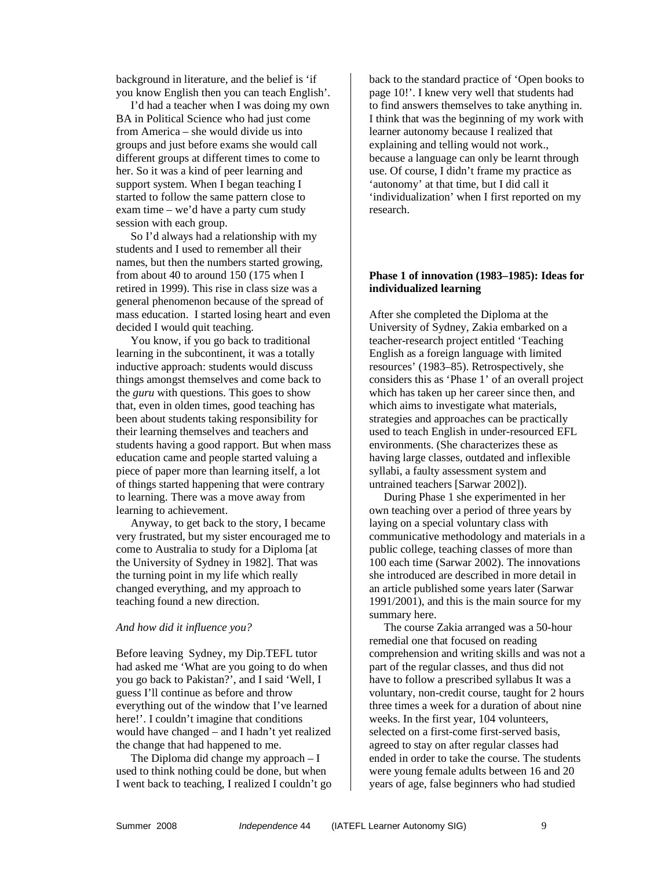background in literature, and the belief is 'if you know English then you can teach English'.

I'd had a teacher when I was doing my own BA in Political Science who had just come from America – she would divide us into groups and just before exams she would call different groups at different times to come to her. So it was a kind of peer learning and support system. When I began teaching I started to follow the same pattern close to exam time – we'd have a party cum study session with each group.

So I'd always had a relationship with my students and I used to remember all their names, but then the numbers started growing, from about 40 to around 150 (175 when I retired in 1999). This rise in class size was a general phenomenon because of the spread of mass education. I started losing heart and even decided I would quit teaching.

You know, if you go back to traditional learning in the subcontinent, it was a totally inductive approach: students would discuss things amongst themselves and come back to the *guru* with questions. This goes to show that, even in olden times, good teaching has been about students taking responsibility for their learning themselves and teachers and students having a good rapport. But when mass education came and people started valuing a piece of paper more than learning itself, a lot of things started happening that were contrary to learning. There was a move away from learning to achievement.

Anyway, to get back to the story, I became very frustrated, but my sister encouraged me to come to Australia to study for a Diploma [at the University of Sydney in 1982]. That was the turning point in my life which really changed everything, and my approach to teaching found a new direction.

#### *And how did it influence you?*

Before leaving Sydney, my Dip.TEFL tutor had asked me 'What are you going to do when you go back to Pakistan?', and I said 'Well, I guess I'll continue as before and throw everything out of the window that I've learned here!'. I couldn't imagine that conditions would have changed – and I hadn't yet realized the change that had happened to me.

The Diploma did change my approach – I used to think nothing could be done, but when I went back to teaching, I realized I couldn't go back to the standard practice of 'Open books to page 10!'. I knew very well that students had to find answers themselves to take anything in. I think that was the beginning of my work with learner autonomy because I realized that explaining and telling would not work., because a language can only be learnt through use. Of course, I didn't frame my practice as 'autonomy' at that time, but I did call it 'individualization' when I first reported on my research.

#### **Phase 1 of innovation (1983–1985): Ideas for individualized learning**

After she completed the Diploma at the University of Sydney, Zakia embarked on a teacher-research project entitled 'Teaching English as a foreign language with limited resources' (1983–85). Retrospectively, she considers this as 'Phase 1' of an overall project which has taken up her career since then, and which aims to investigate what materials, strategies and approaches can be practically used to teach English in under-resourced EFL environments. (She characterizes these as having large classes, outdated and inflexible syllabi, a faulty assessment system and untrained teachers [Sarwar 2002]).

During Phase 1 she experimented in her own teaching over a period of three years by laying on a special voluntary class with communicative methodology and materials in a public college, teaching classes of more than 100 each time (Sarwar 2002). The innovations she introduced are described in more detail in an article published some years later (Sarwar 1991/2001), and this is the main source for my summary here.

The course Zakia arranged was a 50-hour remedial one that focused on reading comprehension and writing skills and was not a part of the regular classes, and thus did not have to follow a prescribed syllabus It was a voluntary, non-credit course, taught for 2 hours three times a week for a duration of about nine weeks. In the first year, 104 volunteers, selected on a first-come first-served basis, agreed to stay on after regular classes had ended in order to take the course. The students were young female adults between 16 and 20 years of age, false beginners who had studied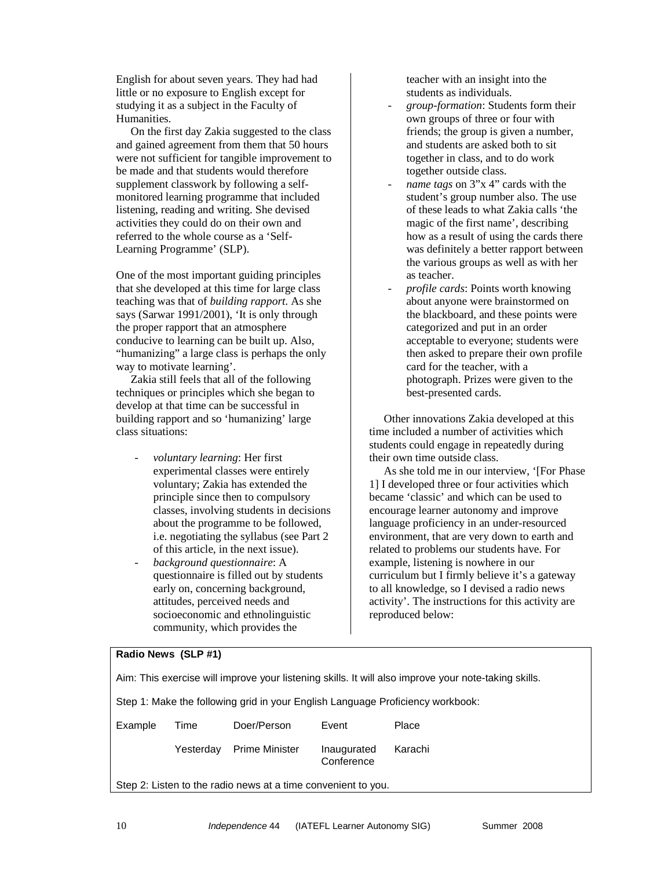English for about seven years. They had had little or no exposure to English except for studying it as a subject in the Faculty of Humanities.

On the first day Zakia suggested to the class and gained agreement from them that 50 hours were not sufficient for tangible improvement to be made and that students would therefore supplement classwork by following a selfmonitored learning programme that included listening, reading and writing. She devised activities they could do on their own and referred to the whole course as a 'Self-Learning Programme' (SLP).

One of the most important guiding principles that she developed at this time for large class teaching was that of *building rapport*. As she says (Sarwar 1991/2001), 'It is only through the proper rapport that an atmosphere conducive to learning can be built up. Also, "humanizing" a large class is perhaps the only way to motivate learning'.

Zakia still feels that all of the following techniques or principles which she began to develop at that time can be successful in building rapport and so 'humanizing' large class situations:

- *voluntary learning*: Her first experimental classes were entirely voluntary; Zakia has extended the principle since then to compulsory classes, involving students in decisions about the programme to be followed, i.e. negotiating the syllabus (see Part 2 of this article, in the next issue).
- *background questionnaire*: A questionnaire is filled out by students early on, concerning background, attitudes, perceived needs and socioeconomic and ethnolinguistic community, which provides the

teacher with an insight into the students as individuals.

- *group-formation*: Students form their own groups of three or four with friends; the group is given a number, and students are asked both to sit together in class, and to do work together outside class.
- *name tags* on 3"x 4" cards with the student's group number also. The use of these leads to what Zakia calls 'the magic of the first name', describing how as a result of using the cards there was definitely a better rapport between the various groups as well as with her as teacher.
- *profile cards*: Points worth knowing about anyone were brainstormed on the blackboard, and these points were categorized and put in an order acceptable to everyone; students were then asked to prepare their own profile card for the teacher, with a photograph. Prizes were given to the best-presented cards.

Other innovations Zakia developed at this time included a number of activities which students could engage in repeatedly during their own time outside class.

As she told me in our interview, '[For Phase 1] I developed three or four activities which became 'classic' and which can be used to encourage learner autonomy and improve language proficiency in an under-resourced environment, that are very down to earth and related to problems our students have. For example, listening is nowhere in our curriculum but I firmly believe it's a gateway to all knowledge, so I devised a radio news activity'. The instructions for this activity are reproduced below:

#### **Radio News (SLP #1)**

| Aim: This exercise will improve your listening skills. It will also improve your note-taking skills. |           |                       |                           |         |
|------------------------------------------------------------------------------------------------------|-----------|-----------------------|---------------------------|---------|
| Step 1: Make the following grid in your English Language Proficiency workbook:                       |           |                       |                           |         |
| Example                                                                                              | Time      | Doer/Person           | Event                     | Place   |
|                                                                                                      | Yesterdav | <b>Prime Minister</b> | Inaugurated<br>Conference | Karachi |
| Step 2: Listen to the radio news at a time convenient to you.                                        |           |                       |                           |         |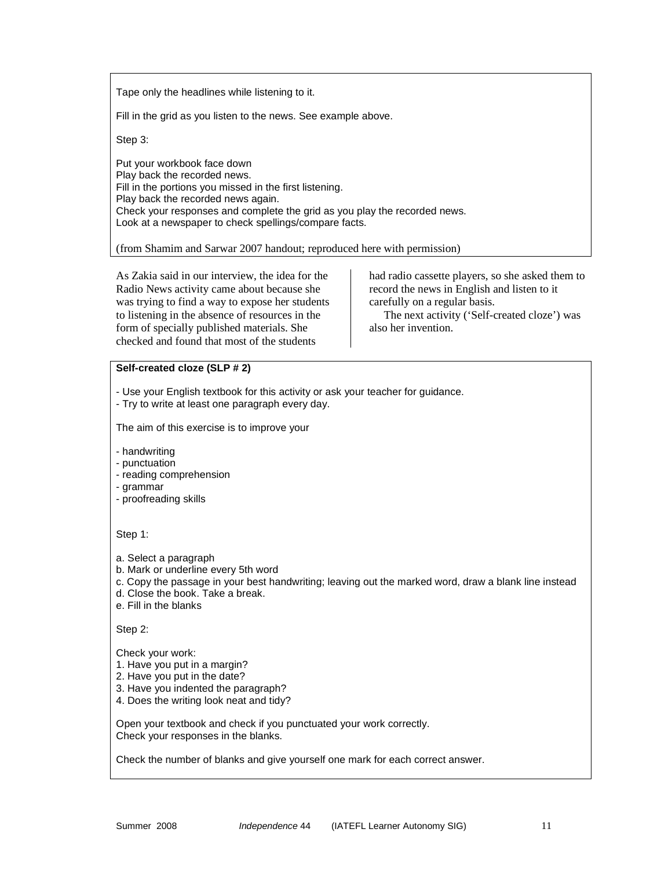Tape only the headlines while listening to it.

Fill in the grid as you listen to the news. See example above.

Step 3:

Put your workbook face down Play back the recorded news. Fill in the portions you missed in the first listening. Play back the recorded news again. Check your responses and complete the grid as you play the recorded news. Look at a newspaper to check spellings/compare facts.

(from Shamim and Sarwar 2007 handout; reproduced here with permission)

As Zakia said in our interview, the idea for the Radio News activity came about because she was trying to find a way to expose her students to listening in the absence of resources in the form of specially published materials. She checked and found that most of the students

had radio cassette players, so she asked them to record the news in English and listen to it carefully on a regular basis.

The next activity ('Self-created cloze') was also her invention.

#### **Self-created cloze (SLP # 2)**

- Use your English textbook for this activity or ask your teacher for guidance.

- Try to write at least one paragraph every day.

The aim of this exercise is to improve your

- handwriting
- punctuation
- reading comprehension
- grammar
- proofreading skills

Step 1:

- a. Select a paragraph
- b. Mark or underline every 5th word
- c. Copy the passage in your best handwriting; leaving out the marked word, draw a blank line instead
- d. Close the book. Take a break.
- e. Fill in the blanks

Step 2:

Check your work:

- 1. Have you put in a margin?
- 2. Have you put in the date?
- 3. Have you indented the paragraph?
- 4. Does the writing look neat and tidy?

Open your textbook and check if you punctuated your work correctly. Check your responses in the blanks.

Check the number of blanks and give yourself one mark for each correct answer.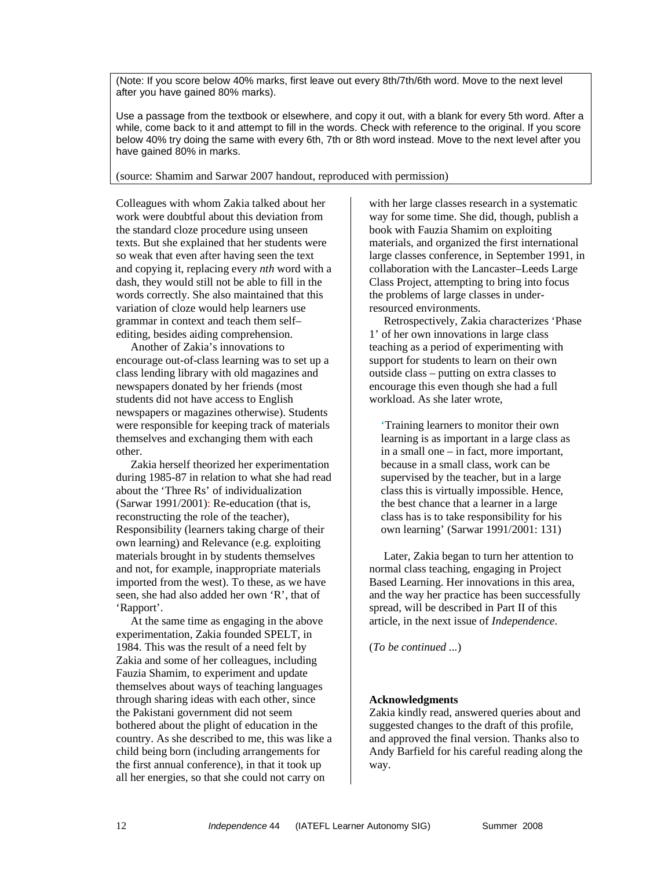(Note: If you score below 40% marks, first leave out every 8th/7th/6th word. Move to the next level after you have gained 80% marks).

Use a passage from the textbook or elsewhere, and copy it out, with a blank for every 5th word. After a while, come back to it and attempt to fill in the words. Check with reference to the original. If you score below 40% try doing the same with every 6th, 7th or 8th word instead. Move to the next level after you have gained 80% in marks.

(source: Shamim and Sarwar 2007 handout, reproduced with permission)

Colleagues with whom Zakia talked about her work were doubtful about this deviation from the standard cloze procedure using unseen texts. But she explained that her students were so weak that even after having seen the text and copying it, replacing every *nth* word with a dash, they would still not be able to fill in the words correctly. She also maintained that this variation of cloze would help learners use grammar in context and teach them self– editing, besides aiding comprehension.

Another of Zakia's innovations to encourage out-of-class learning was to set up a class lending library with old magazines and newspapers donated by her friends (most students did not have access to English newspapers or magazines otherwise). Students were responsible for keeping track of materials themselves and exchanging them with each other.

Zakia herself theorized her experimentation during 1985-87 in relation to what she had read about the 'Three Rs' of individualization (Sarwar 1991/2001): Re-education (that is, reconstructing the role of the teacher), Responsibility (learners taking charge of their own learning) and Relevance (e.g. exploiting materials brought in by students themselves and not, for example, inappropriate materials imported from the west). To these, as we have seen, she had also added her own 'R', that of 'Rapport'.

At the same time as engaging in the above experimentation, Zakia founded SPELT, in 1984. This was the result of a need felt by Zakia and some of her colleagues, including Fauzia Shamim, to experiment and update themselves about ways of teaching languages through sharing ideas with each other, since the Pakistani government did not seem bothered about the plight of education in the country. As she described to me, this was like a child being born (including arrangements for the first annual conference), in that it took up all her energies, so that she could not carry on

with her large classes research in a systematic way for some time. She did, though, publish a book with Fauzia Shamim on exploiting materials, and organized the first international large classes conference, in September 1991, in collaboration with the Lancaster–Leeds Large Class Project, attempting to bring into focus the problems of large classes in underresourced environments.

Retrospectively, Zakia characterizes 'Phase 1' of her own innovations in large class teaching as a period of experimenting with support for students to learn on their own outside class – putting on extra classes to encourage this even though she had a full workload. As she later wrote,

'Training learners to monitor their own learning is as important in a large class as in a small one – in fact, more important, because in a small class, work can be supervised by the teacher, but in a large class this is virtually impossible. Hence, the best chance that a learner in a large class has is to take responsibility for his own learning' (Sarwar 1991/2001: 131)

Later, Zakia began to turn her attention to normal class teaching, engaging in Project Based Learning. Her innovations in this area, and the way her practice has been successfully spread, will be described in Part II of this article, in the next issue of *Independence*.

(*To be continued ...*)

# **Acknowledgments**

Zakia kindly read, answered queries about and suggested changes to the draft of this profile, and approved the final version. Thanks also to Andy Barfield for his careful reading along the way.